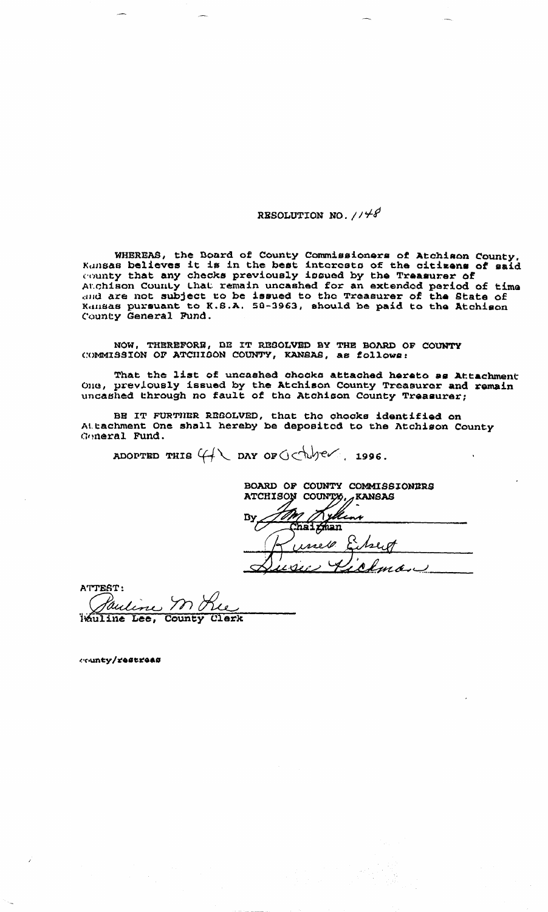## RESOLUTION NO. 1148

WHEREAS, the Board of County Commissioners of Atchison County, Kunsas believes it is in the best interests of the citizens of said Authors Delieves it is in the sest interests of the citizens of said<br>county that any checks previously issued by the Treasurer of<br>Auchison County that remain uncashed for an extended period of time<br>and are not subject to b

NOW, THEREFORE, BE IT RESOLVED BY THE BOARD OF COUNTY COMMISSION OF ATCHIGON COUNTY, KANSAS, as follows:

That the list of uncashed chocks attached hereto as Attachment<br>One, previously issued by the Atchison County Treasurer and remain<br>uncashed through no fault of the Atchison County Treasurer;

BE IT FURTHER REGOLVED, that the chocks identified on<br>Attachment One shall hereby be deposited to the Atchison County Goneral Fund.

ADOPTED THIS  $4\sqrt{2}$  DAY OF  $0<\frac{1}{2}$  ev.

BOARD OF COUNTY COMMISSIONIRS  $\n *ANSAS*\n$ ATCHISON COUNTY, yli aai ghan rreso.

ATTEST: Kauline YV 0 عبكالم Wauline Lee, County Clerk

county/restreas